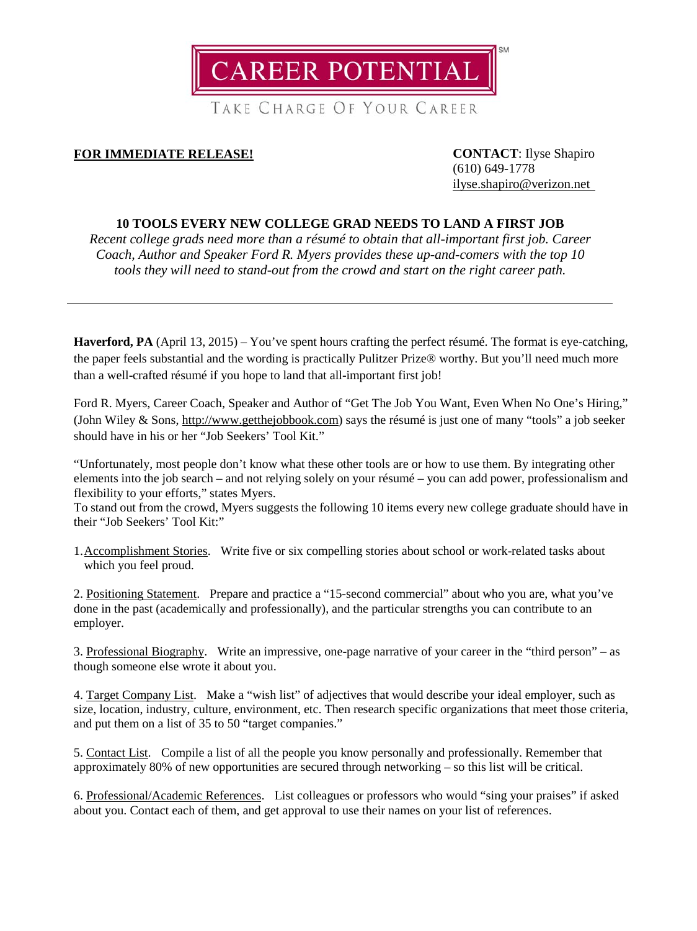

TAKE CHARGE OF YOUR CAREER

# **FOR IMMEDIATE RELEASE! CONTACT**: Ilyse Shapiro

(610) 649-1778 [ilyse.shapiro@verizon.net](mailto:ilyse.shapiro@verizon.net)

## **10 TOOLS EVERY NEW COLLEGE GRAD NEEDS TO LAND A FIRST JOB**

*Recent college grads need more than a résumé to obtain that all-important first job. Career Coach, Author and Speaker Ford R. Myers provides these up-and-comers with the top 10 tools they will need to stand-out from the crowd and start on the right career path.*

**Haverford, PA** (April 13, 2015) – You've spent hours crafting the perfect résumé. The format is eye-catching, the paper feels substantial and the wording is practically Pulitzer Prize® worthy. But you'll need much more than a well-crafted résumé if you hope to land that all-important first job!

Ford R. Myers, Career Coach, Speaker and Author of "Get The Job You Want, Even When No One's Hiring," (John Wiley & Sons, [http://www.getthejobbook.com\)](http://www.getthejobbook.com/) says the résumé is just one of many "tools" a job seeker should have in his or her "Job Seekers' Tool Kit."

"Unfortunately, most people don't know what these other tools are or how to use them. By integrating other elements into the job search – and not relying solely on your résumé – you can add power, professionalism and flexibility to your efforts," states Myers.

To stand out from the crowd, Myers suggests the following 10 items every new college graduate should have in their "Job Seekers' Tool Kit:"

1.Accomplishment Stories. Write five or six compelling stories about school or work-related tasks about which you feel proud.

2. Positioning Statement. Prepare and practice a "15-second commercial" about who you are, what you've done in the past (academically and professionally), and the particular strengths you can contribute to an employer.

3. Professional Biography. Write an impressive, one-page narrative of your career in the "third person" – as though someone else wrote it about you.

4. Target Company List. Make a "wish list" of adjectives that would describe your ideal employer, such as size, location, industry, culture, environment, etc. Then research specific organizations that meet those criteria, and put them on a list of 35 to 50 "target companies."

5. Contact List. Compile a list of all the people you know personally and professionally. Remember that approximately 80% of new opportunities are secured through networking – so this list will be critical.

6. Professional/Academic References. List colleagues or professors who would "sing your praises" if asked about you. Contact each of them, and get approval to use their names on your list of references.